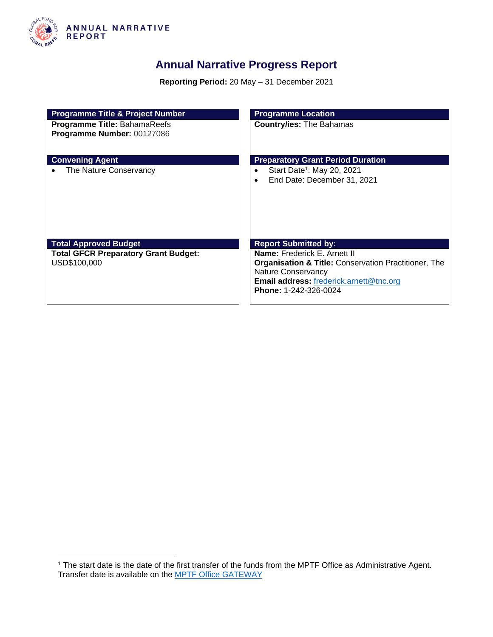

## **Annual Narrative Progress Report**

**Reporting Period:** 20 May – 31 December 2021

| <b>Programme Title &amp; Project Number</b>                 | <b>Programme Location</b>                                                                                                                                                                        |
|-------------------------------------------------------------|--------------------------------------------------------------------------------------------------------------------------------------------------------------------------------------------------|
| Programme Title: BahamaReefs<br>Programme Number: 00127086  | <b>Country/ies: The Bahamas</b>                                                                                                                                                                  |
| <b>Convening Agent</b>                                      | <b>Preparatory Grant Period Duration</b>                                                                                                                                                         |
| The Nature Conservancy                                      | Start Date <sup>1</sup> : May 20, 2021<br>End Date: December 31, 2021                                                                                                                            |
| <b>Total Approved Budget</b>                                | <b>Report Submitted by:</b>                                                                                                                                                                      |
| <b>Total GFCR Preparatory Grant Budget:</b><br>USD\$100,000 | Name: Frederick E. Arnett II<br><b>Organisation &amp; Title: Conservation Practitioner, The</b><br>Nature Conservancy<br><b>Email address: frederick.arnett@tnc.org</b><br>Phone: 1-242-326-0024 |

<sup>&</sup>lt;sup>1</sup> The start date is the date of the first transfer of the funds from the MPTF Office as Administrative Agent. Transfer date is available on the **MPTF Office GATEWAY**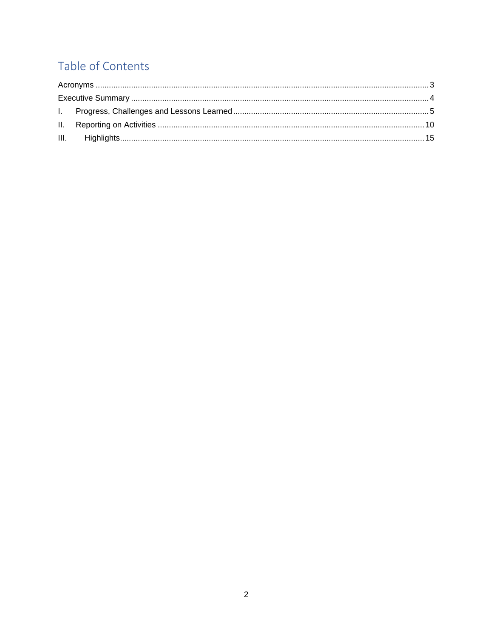# Table of Contents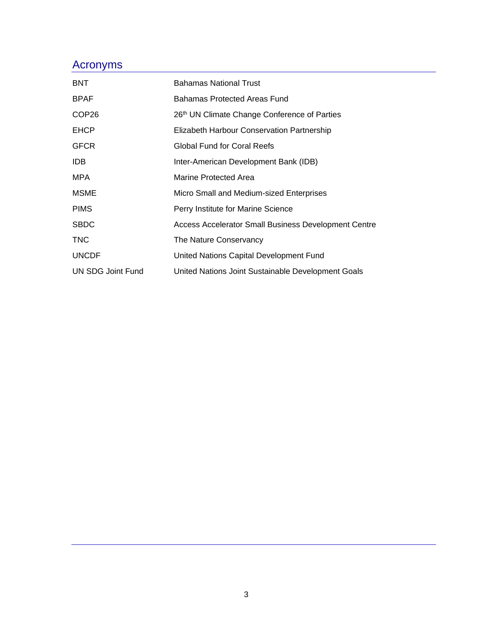## <span id="page-2-0"></span>Acronyms

| <b>BNT</b>        | <b>Bahamas National Trust</b>                        |
|-------------------|------------------------------------------------------|
| <b>BPAF</b>       | Bahamas Protected Areas Fund                         |
| COP <sub>26</sub> | 26th UN Climate Change Conference of Parties         |
| <b>EHCP</b>       | Elizabeth Harbour Conservation Partnership           |
| <b>GFCR</b>       | Global Fund for Coral Reefs                          |
| IDB.              | Inter-American Development Bank (IDB)                |
| MPA               | Marine Protected Area                                |
| <b>MSME</b>       | Micro Small and Medium-sized Enterprises             |
| <b>PIMS</b>       | Perry Institute for Marine Science                   |
| <b>SBDC</b>       | Access Accelerator Small Business Development Centre |
| <b>TNC</b>        | The Nature Conservancy                               |
| <b>UNCDF</b>      | United Nations Capital Development Fund              |
| UN SDG Joint Fund | United Nations Joint Sustainable Development Goals   |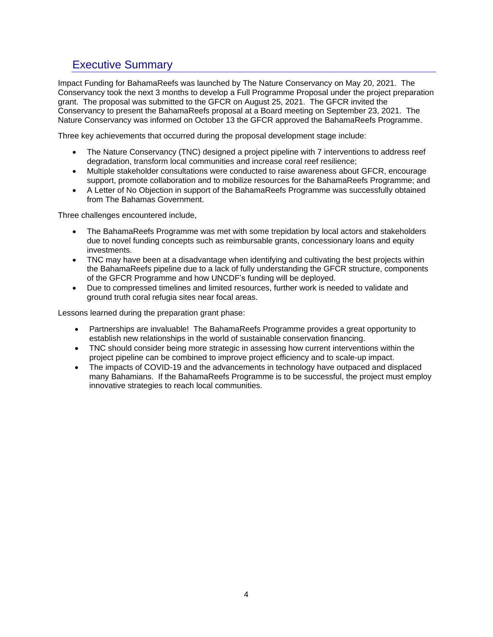### <span id="page-3-0"></span>Executive Summary

Impact Funding for BahamaReefs was launched by The Nature Conservancy on May 20, 2021. The Conservancy took the next 3 months to develop a Full Programme Proposal under the project preparation grant. The proposal was submitted to the GFCR on August 25, 2021. The GFCR invited the Conservancy to present the BahamaReefs proposal at a Board meeting on September 23, 2021. The Nature Conservancy was informed on October 13 the GFCR approved the BahamaReefs Programme.

Three key achievements that occurred during the proposal development stage include:

- The Nature Conservancy (TNC) designed a project pipeline with 7 interventions to address reef degradation, transform local communities and increase coral reef resilience;
- Multiple stakeholder consultations were conducted to raise awareness about GFCR, encourage support, promote collaboration and to mobilize resources for the BahamaReefs Programme; and
- A Letter of No Objection in support of the BahamaReefs Programme was successfully obtained from The Bahamas Government.

Three challenges encountered include,

- The BahamaReefs Programme was met with some trepidation by local actors and stakeholders due to novel funding concepts such as reimbursable grants, concessionary loans and equity investments.
- TNC may have been at a disadvantage when identifying and cultivating the best projects within the BahamaReefs pipeline due to a lack of fully understanding the GFCR structure, components of the GFCR Programme and how UNCDF's funding will be deployed.
- Due to compressed timelines and limited resources, further work is needed to validate and ground truth coral refugia sites near focal areas.

Lessons learned during the preparation grant phase:

- Partnerships are invaluable! The BahamaReefs Programme provides a great opportunity to establish new relationships in the world of sustainable conservation financing.
- TNC should consider being more strategic in assessing how current interventions within the project pipeline can be combined to improve project efficiency and to scale-up impact.
- The impacts of COVID-19 and the advancements in technology have outpaced and displaced many Bahamians. If the BahamaReefs Programme is to be successful, the project must employ innovative strategies to reach local communities.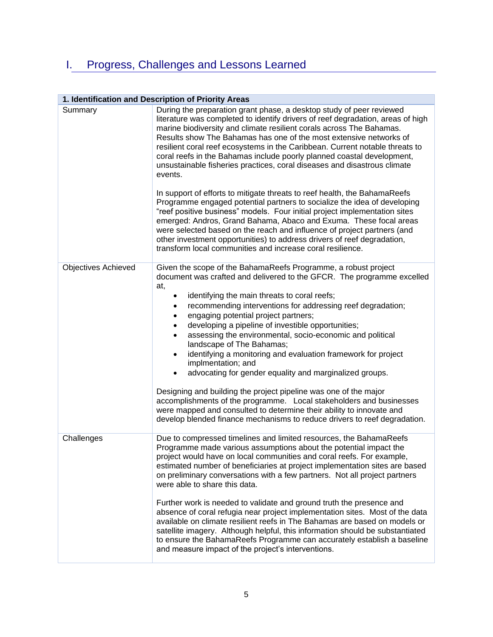# <span id="page-4-0"></span>I. Progress, Challenges and Lessons Learned

### **1. Identification and Description of Priority Areas**

| During the preparation grant phase, a desktop study of peer reviewed<br>literature was completed to identify drivers of reef degradation, areas of high<br>marine biodiversity and climate resilient corals across The Bahamas.<br>Results show The Bahamas has one of the most extensive networks of<br>resilient coral reef ecosystems in the Caribbean. Current notable threats to<br>coral reefs in the Bahamas include poorly planned coastal development,<br>unsustainable fisheries practices, coral diseases and disastrous climate<br>events.<br>In support of efforts to mitigate threats to reef health, the BahamaReefs<br>Programme engaged potential partners to socialize the idea of developing<br>"reef positive business" models. Four initial project implementation sites<br>emerged: Andros, Grand Bahama, Abaco and Exuma. These focal areas<br>were selected based on the reach and influence of project partners (and<br>other investment opportunities) to address drivers of reef degradation,<br>transform local communities and increase coral resilience. |
|----------------------------------------------------------------------------------------------------------------------------------------------------------------------------------------------------------------------------------------------------------------------------------------------------------------------------------------------------------------------------------------------------------------------------------------------------------------------------------------------------------------------------------------------------------------------------------------------------------------------------------------------------------------------------------------------------------------------------------------------------------------------------------------------------------------------------------------------------------------------------------------------------------------------------------------------------------------------------------------------------------------------------------------------------------------------------------------|
| Given the scope of the BahamaReefs Programme, a robust project<br>document was crafted and delivered to the GFCR. The programme excelled<br>at,<br>identifying the main threats to coral reefs;<br>$\bullet$<br>recommending interventions for addressing reef degradation;<br>٠<br>engaging potential project partners;<br>$\bullet$<br>developing a pipeline of investible opportunities;<br>$\bullet$<br>assessing the environmental, socio-economic and political<br>$\bullet$<br>landscape of The Bahamas;<br>identifying a monitoring and evaluation framework for project<br>$\bullet$<br>implmentation; and<br>advocating for gender equality and marginalized groups.<br>$\bullet$<br>Designing and building the project pipeline was one of the major<br>accomplishments of the programme. Local stakeholders and businesses<br>were mapped and consulted to determine their ability to innovate and<br>develop blended finance mechanisms to reduce drivers to reef degradation.                                                                                            |
| Due to compressed timelines and limited resources, the BahamaReefs<br>Programme made various assumptions about the potential impact the<br>project would have on local communities and coral reefs. For example,<br>estimated number of beneficiaries at project implementation sites are based<br>on preliminary conversations with a few partners. Not all project partners<br>were able to share this data.<br>Further work is needed to validate and ground truth the presence and<br>absence of coral refugia near project implementation sites. Most of the data<br>available on climate resilient reefs in The Bahamas are based on models or<br>satellite imagery. Although helpful, this information should be substantiated<br>to ensure the BahamaReefs Programme can accurately establish a baseline<br>and measure impact of the project's interventions.                                                                                                                                                                                                                 |
|                                                                                                                                                                                                                                                                                                                                                                                                                                                                                                                                                                                                                                                                                                                                                                                                                                                                                                                                                                                                                                                                                        |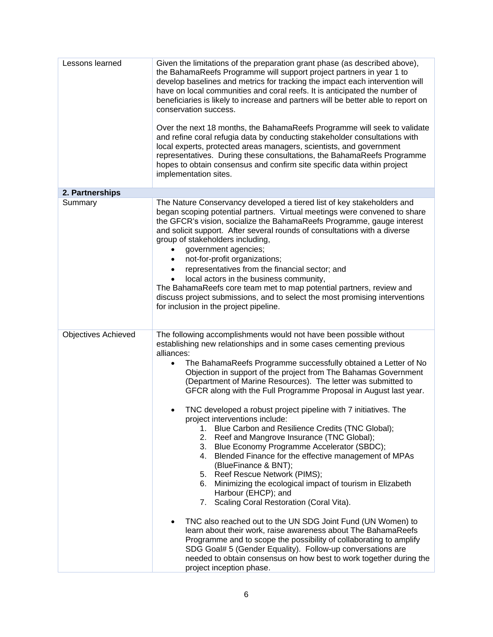| Lessons learned            | Given the limitations of the preparation grant phase (as described above),<br>the BahamaReefs Programme will support project partners in year 1 to<br>develop baselines and metrics for tracking the impact each intervention will<br>have on local communities and coral reefs. It is anticipated the number of<br>beneficiaries is likely to increase and partners will be better able to report on<br>conservation success.<br>Over the next 18 months, the BahamaReefs Programme will seek to validate<br>and refine coral refugia data by conducting stakeholder consultations with<br>local experts, protected areas managers, scientists, and government<br>representatives. During these consultations, the BahamaReefs Programme<br>hopes to obtain consensus and confirm site specific data within project                                                                                                                                                                                                                                                                                                                                                                                                                                                                                                                                |
|----------------------------|-----------------------------------------------------------------------------------------------------------------------------------------------------------------------------------------------------------------------------------------------------------------------------------------------------------------------------------------------------------------------------------------------------------------------------------------------------------------------------------------------------------------------------------------------------------------------------------------------------------------------------------------------------------------------------------------------------------------------------------------------------------------------------------------------------------------------------------------------------------------------------------------------------------------------------------------------------------------------------------------------------------------------------------------------------------------------------------------------------------------------------------------------------------------------------------------------------------------------------------------------------------------------------------------------------------------------------------------------------|
|                            | implementation sites.                                                                                                                                                                                                                                                                                                                                                                                                                                                                                                                                                                                                                                                                                                                                                                                                                                                                                                                                                                                                                                                                                                                                                                                                                                                                                                                               |
| 2. Partnerships            |                                                                                                                                                                                                                                                                                                                                                                                                                                                                                                                                                                                                                                                                                                                                                                                                                                                                                                                                                                                                                                                                                                                                                                                                                                                                                                                                                     |
| Summary                    | The Nature Conservancy developed a tiered list of key stakeholders and<br>began scoping potential partners. Virtual meetings were convened to share<br>the GFCR's vision, socialize the BahamaReefs Programme, gauge interest<br>and solicit support. After several rounds of consultations with a diverse<br>group of stakeholders including,<br>government agencies;<br>not-for-profit organizations;<br>representatives from the financial sector; and<br>local actors in the business community,<br>The BahamaReefs core team met to map potential partners, review and<br>discuss project submissions, and to select the most promising interventions<br>for inclusion in the project pipeline.                                                                                                                                                                                                                                                                                                                                                                                                                                                                                                                                                                                                                                                |
| <b>Objectives Achieved</b> | The following accomplishments would not have been possible without<br>establishing new relationships and in some cases cementing previous<br>alliances:<br>The BahamaReefs Programme successfully obtained a Letter of No<br>$\bullet$<br>Objection in support of the project from The Bahamas Government<br>(Department of Marine Resources). The letter was submitted to<br>GFCR along with the Full Programme Proposal in August last year.<br>TNC developed a robust project pipeline with 7 initiatives. The<br>project interventions include:<br>Blue Carbon and Resilience Credits (TNC Global);<br>1.<br>2. Reef and Mangrove Insurance (TNC Global);<br>3. Blue Economy Programme Accelerator (SBDC);<br>4. Blended Finance for the effective management of MPAs<br>(BlueFinance & BNT);<br>5. Reef Rescue Network (PIMS);<br>Minimizing the ecological impact of tourism in Elizabeth<br>6.<br>Harbour (EHCP); and<br>Scaling Coral Restoration (Coral Vita).<br>7.<br>TNC also reached out to the UN SDG Joint Fund (UN Women) to<br>learn about their work, raise awareness about The BahamaReefs<br>Programme and to scope the possibility of collaborating to amplify<br>SDG Goal# 5 (Gender Equality). Follow-up conversations are<br>needed to obtain consensus on how best to work together during the<br>project inception phase. |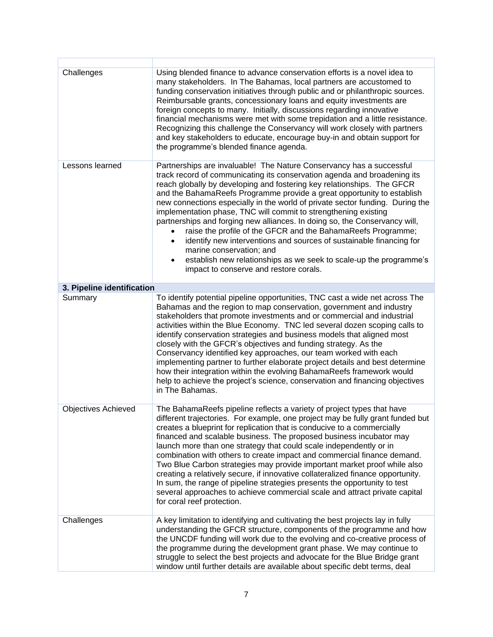| Challenges                 | Using blended finance to advance conservation efforts is a novel idea to<br>many stakeholders. In The Bahamas, local partners are accustomed to<br>funding conservation initiatives through public and or philanthropic sources.<br>Reimbursable grants, concessionary loans and equity investments are<br>foreign concepts to many. Initially, discussions regarding innovative<br>financial mechanisms were met with some trepidation and a little resistance.<br>Recognizing this challenge the Conservancy will work closely with partners<br>and key stakeholders to educate, encourage buy-in and obtain support for<br>the programme's blended finance agenda.                                                                                                                                                     |
|----------------------------|---------------------------------------------------------------------------------------------------------------------------------------------------------------------------------------------------------------------------------------------------------------------------------------------------------------------------------------------------------------------------------------------------------------------------------------------------------------------------------------------------------------------------------------------------------------------------------------------------------------------------------------------------------------------------------------------------------------------------------------------------------------------------------------------------------------------------|
| Lessons learned            | Partnerships are invaluable! The Nature Conservancy has a successful<br>track record of communicating its conservation agenda and broadening its<br>reach globally by developing and fostering key relationships. The GFCR<br>and the BahamaReefs Programme provide a great opportunity to establish<br>new connections especially in the world of private sector funding. During the<br>implementation phase, TNC will commit to strengthening existing<br>partnerships and forging new alliances. In doing so, the Conservancy will,<br>raise the profile of the GFCR and the BahamaReefs Programme;<br>identify new interventions and sources of sustainable financing for<br>marine conservation; and<br>establish new relationships as we seek to scale-up the programme's<br>impact to conserve and restore corals. |
| 3. Pipeline identification |                                                                                                                                                                                                                                                                                                                                                                                                                                                                                                                                                                                                                                                                                                                                                                                                                           |
| Summary                    | To identify potential pipeline opportunities, TNC cast a wide net across The<br>Bahamas and the region to map conservation, government and industry<br>stakeholders that promote investments and or commercial and industrial<br>activities within the Blue Economy. TNC led several dozen scoping calls to<br>identify conservation strategies and business models that aligned most<br>closely with the GFCR's objectives and funding strategy. As the<br>Conservancy identified key approaches, our team worked with each<br>implementing partner to further elaborate project details and best determine<br>how their integration within the evolving BahamaReefs framework would<br>help to achieve the project's science, conservation and financing objectives<br>in The Bahamas.                                  |
| <b>Objectives Achieved</b> | The BahamaReefs pipeline reflects a variety of project types that have<br>different trajectories. For example, one project may be fully grant funded but<br>creates a blueprint for replication that is conducive to a commercially<br>financed and scalable business. The proposed business incubator may<br>launch more than one strategy that could scale independently or in<br>combination with others to create impact and commercial finance demand.<br>Two Blue Carbon strategies may provide important market proof while also<br>creating a relatively secure, if innovative collateralized finance opportunity.<br>In sum, the range of pipeline strategies presents the opportunity to test<br>several approaches to achieve commercial scale and attract private capital<br>for coral reef protection.       |
| Challenges                 | A key limitation to identifying and cultivating the best projects lay in fully<br>understanding the GFCR structure, components of the programme and how<br>the UNCDF funding will work due to the evolving and co-creative process of<br>the programme during the development grant phase. We may continue to<br>struggle to select the best projects and advocate for the Blue Bridge grant<br>window until further details are available about specific debt terms, deal                                                                                                                                                                                                                                                                                                                                                |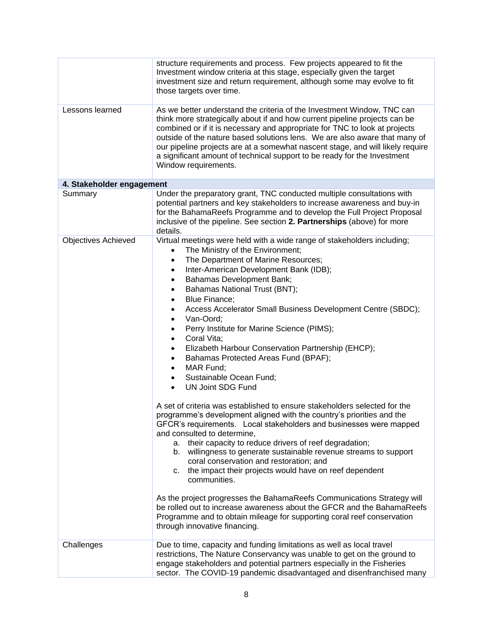|                            | structure requirements and process. Few projects appeared to fit the<br>Investment window criteria at this stage, especially given the target<br>investment size and return requirement, although some may evolve to fit<br>those targets over time.                                                                                                                                                                                                                                                                                                                                                                                                                                                                                                                                                                                                                                                                                                                                                                                                                                                                                                                                                                                                                                                                                                                                                                                                                                       |  |
|----------------------------|--------------------------------------------------------------------------------------------------------------------------------------------------------------------------------------------------------------------------------------------------------------------------------------------------------------------------------------------------------------------------------------------------------------------------------------------------------------------------------------------------------------------------------------------------------------------------------------------------------------------------------------------------------------------------------------------------------------------------------------------------------------------------------------------------------------------------------------------------------------------------------------------------------------------------------------------------------------------------------------------------------------------------------------------------------------------------------------------------------------------------------------------------------------------------------------------------------------------------------------------------------------------------------------------------------------------------------------------------------------------------------------------------------------------------------------------------------------------------------------------|--|
| Lessons learned            | As we better understand the criteria of the Investment Window, TNC can<br>think more strategically about if and how current pipeline projects can be<br>combined or if it is necessary and appropriate for TNC to look at projects<br>outside of the nature based solutions lens. We are also aware that many of<br>our pipeline projects are at a somewhat nascent stage, and will likely require<br>a significant amount of technical support to be ready for the Investment<br>Window requirements.                                                                                                                                                                                                                                                                                                                                                                                                                                                                                                                                                                                                                                                                                                                                                                                                                                                                                                                                                                                     |  |
| 4. Stakeholder engagement  |                                                                                                                                                                                                                                                                                                                                                                                                                                                                                                                                                                                                                                                                                                                                                                                                                                                                                                                                                                                                                                                                                                                                                                                                                                                                                                                                                                                                                                                                                            |  |
| Summary                    | Under the preparatory grant, TNC conducted multiple consultations with<br>potential partners and key stakeholders to increase awareness and buy-in<br>for the BahamaReefs Programme and to develop the Full Project Proposal<br>inclusive of the pipeline. See section 2. Partnerships (above) for more<br>details.                                                                                                                                                                                                                                                                                                                                                                                                                                                                                                                                                                                                                                                                                                                                                                                                                                                                                                                                                                                                                                                                                                                                                                        |  |
| <b>Objectives Achieved</b> | Virtual meetings were held with a wide range of stakeholders including;<br>The Ministry of the Environment;<br>The Department of Marine Resources;<br>Inter-American Development Bank (IDB);<br>٠<br><b>Bahamas Development Bank;</b><br>٠<br>Bahamas National Trust (BNT);<br>$\bullet$<br><b>Blue Finance:</b><br>$\bullet$<br>Access Accelerator Small Business Development Centre (SBDC);<br>Van-Oord;<br>٠<br>Perry Institute for Marine Science (PIMS);<br>$\bullet$<br>Coral Vita;<br>$\bullet$<br>Elizabeth Harbour Conservation Partnership (EHCP);<br>٠<br>Bahamas Protected Areas Fund (BPAF);<br>MAR Fund;<br>$\bullet$<br>Sustainable Ocean Fund;<br><b>UN Joint SDG Fund</b><br>$\bullet$<br>A set of criteria was established to ensure stakeholders selected for the<br>programme's development aligned with the country's priorities and the<br>GFCR's requirements. Local stakeholders and businesses were mapped<br>and consulted to determine,<br>a. their capacity to reduce drivers of reef degradation;<br>b. willingness to generate sustainable revenue streams to support<br>coral conservation and restoration; and<br>c. the impact their projects would have on reef dependent<br>communities.<br>As the project progresses the BahamaReefs Communications Strategy will<br>be rolled out to increase awareness about the GFCR and the BahamaReefs<br>Programme and to obtain mileage for supporting coral reef conservation<br>through innovative financing. |  |
| Challenges                 | Due to time, capacity and funding limitations as well as local travel<br>restrictions, The Nature Conservancy was unable to get on the ground to<br>engage stakeholders and potential partners especially in the Fisheries<br>sector. The COVID-19 pandemic disadvantaged and disenfranchised many                                                                                                                                                                                                                                                                                                                                                                                                                                                                                                                                                                                                                                                                                                                                                                                                                                                                                                                                                                                                                                                                                                                                                                                         |  |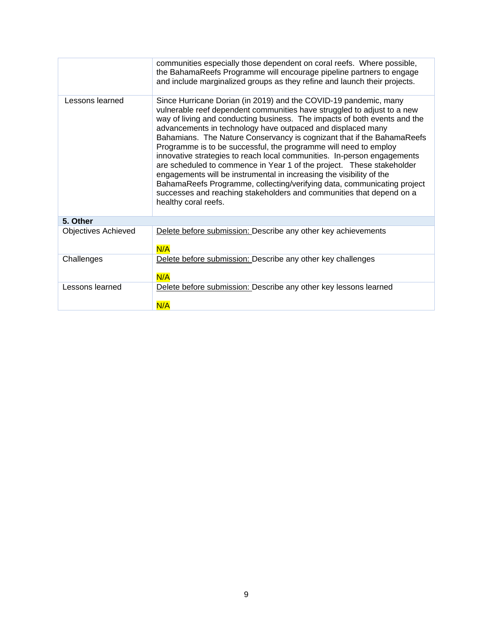|                            | communities especially those dependent on coral reefs. Where possible,<br>the BahamaReefs Programme will encourage pipeline partners to engage<br>and include marginalized groups as they refine and launch their projects.                                                                                                                                                                                                                                                                                                                                                                                                                                                                                                                                                                                                                  |  |
|----------------------------|----------------------------------------------------------------------------------------------------------------------------------------------------------------------------------------------------------------------------------------------------------------------------------------------------------------------------------------------------------------------------------------------------------------------------------------------------------------------------------------------------------------------------------------------------------------------------------------------------------------------------------------------------------------------------------------------------------------------------------------------------------------------------------------------------------------------------------------------|--|
| Lessons learned            | Since Hurricane Dorian (in 2019) and the COVID-19 pandemic, many<br>vulnerable reef dependent communities have struggled to adjust to a new<br>way of living and conducting business. The impacts of both events and the<br>advancements in technology have outpaced and displaced many<br>Bahamians. The Nature Conservancy is cognizant that if the BahamaReefs<br>Programme is to be successful, the programme will need to employ<br>innovative strategies to reach local communities. In-person engagements<br>are scheduled to commence in Year 1 of the project. These stakeholder<br>engagements will be instrumental in increasing the visibility of the<br>BahamaReefs Programme, collecting/verifying data, communicating project<br>successes and reaching stakeholders and communities that depend on a<br>healthy coral reefs. |  |
| 5. Other                   |                                                                                                                                                                                                                                                                                                                                                                                                                                                                                                                                                                                                                                                                                                                                                                                                                                              |  |
| <b>Objectives Achieved</b> | Delete before submission: Describe any other key achievements<br>N/A                                                                                                                                                                                                                                                                                                                                                                                                                                                                                                                                                                                                                                                                                                                                                                         |  |
| Challenges                 | Delete before submission: Describe any other key challenges<br>N/A                                                                                                                                                                                                                                                                                                                                                                                                                                                                                                                                                                                                                                                                                                                                                                           |  |
| Lessons learned            | Delete before submission: Describe any other key lessons learned<br>N/A                                                                                                                                                                                                                                                                                                                                                                                                                                                                                                                                                                                                                                                                                                                                                                      |  |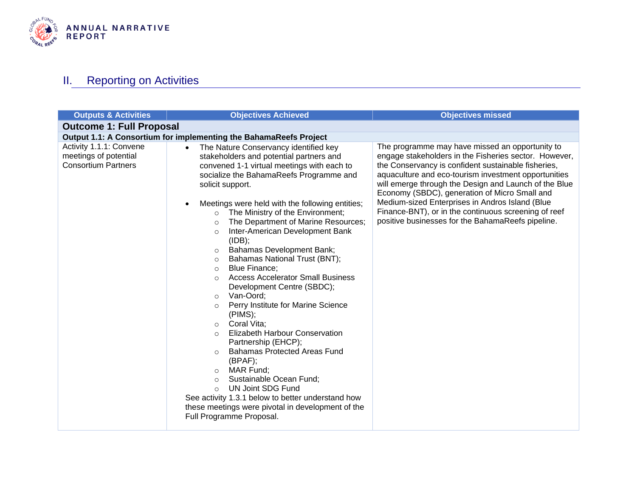

# **II.** Reporting on Activities

<span id="page-9-0"></span>

| <b>Outputs &amp; Activities</b>                                                | <b>Objectives Achieved</b>                                                                                                                                                                                                                                                                                                                                                                                                                                                                                                                                                                                                                                                                                                                                                                                                                                                                                                                                                                                                                                                                                                            | <b>Objectives missed</b>                                                                                                                                                                                                                                                                                                                                                                                                                                                                          |  |
|--------------------------------------------------------------------------------|---------------------------------------------------------------------------------------------------------------------------------------------------------------------------------------------------------------------------------------------------------------------------------------------------------------------------------------------------------------------------------------------------------------------------------------------------------------------------------------------------------------------------------------------------------------------------------------------------------------------------------------------------------------------------------------------------------------------------------------------------------------------------------------------------------------------------------------------------------------------------------------------------------------------------------------------------------------------------------------------------------------------------------------------------------------------------------------------------------------------------------------|---------------------------------------------------------------------------------------------------------------------------------------------------------------------------------------------------------------------------------------------------------------------------------------------------------------------------------------------------------------------------------------------------------------------------------------------------------------------------------------------------|--|
| <b>Outcome 1: Full Proposal</b>                                                |                                                                                                                                                                                                                                                                                                                                                                                                                                                                                                                                                                                                                                                                                                                                                                                                                                                                                                                                                                                                                                                                                                                                       |                                                                                                                                                                                                                                                                                                                                                                                                                                                                                                   |  |
|                                                                                | Output 1.1: A Consortium for implementing the BahamaReefs Project                                                                                                                                                                                                                                                                                                                                                                                                                                                                                                                                                                                                                                                                                                                                                                                                                                                                                                                                                                                                                                                                     |                                                                                                                                                                                                                                                                                                                                                                                                                                                                                                   |  |
| Activity 1.1.1: Convene<br>meetings of potential<br><b>Consortium Partners</b> | The Nature Conservancy identified key<br>$\bullet$<br>stakeholders and potential partners and<br>convened 1-1 virtual meetings with each to<br>socialize the BahamaReefs Programme and<br>solicit support.<br>Meetings were held with the following entities;<br>$\bullet$<br>The Ministry of the Environment;<br>$\circ$<br>The Department of Marine Resources;<br>$\circ$<br>Inter-American Development Bank<br>$\circ$<br>(IDB);<br>Bahamas Development Bank;<br>$\circ$<br>Bahamas National Trust (BNT);<br>$\circ$<br><b>Blue Finance:</b><br>$\circ$<br><b>Access Accelerator Small Business</b><br>$\circ$<br>Development Centre (SBDC);<br>Van-Oord;<br>$\circ$<br>Perry Institute for Marine Science<br>O<br>(PIMS);<br>Coral Vita:<br>$\circ$<br>Elizabeth Harbour Conservation<br>$\Omega$<br>Partnership (EHCP);<br><b>Bahamas Protected Areas Fund</b><br>$\circ$<br>(BPAF);<br>MAR Fund;<br>$\circ$<br>Sustainable Ocean Fund;<br>$\circ$<br><b>UN Joint SDG Fund</b><br>$\Omega$<br>See activity 1.3.1 below to better understand how<br>these meetings were pivotal in development of the<br>Full Programme Proposal. | The programme may have missed an opportunity to<br>engage stakeholders in the Fisheries sector. However,<br>the Conservancy is confident sustainable fisheries,<br>aquaculture and eco-tourism investment opportunities<br>will emerge through the Design and Launch of the Blue<br>Economy (SBDC), generation of Micro Small and<br>Medium-sized Enterprises in Andros Island (Blue<br>Finance-BNT), or in the continuous screening of reef<br>positive businesses for the BahamaReefs pipeline. |  |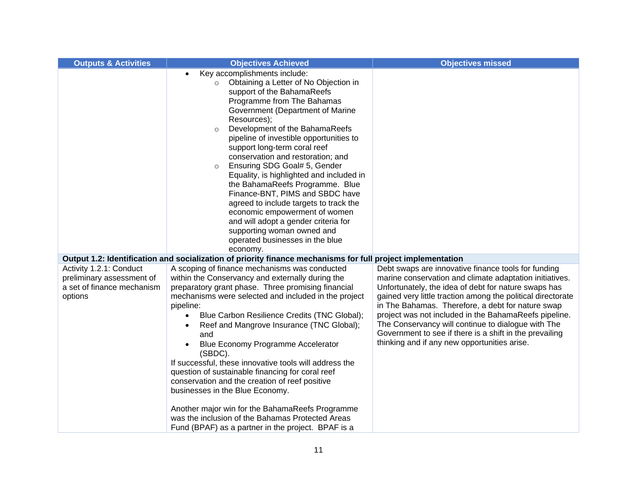| <b>Outputs &amp; Activities</b>                                                               | <b>Objectives Achieved</b>                                                                                                                                                                                                                                                                                                                                                                                                                                                                                                                                                                                                                                                                                                              | <b>Objectives missed</b>                                                                                                                                                                                                                                                                                                                                                                                                                                                                                             |
|-----------------------------------------------------------------------------------------------|-----------------------------------------------------------------------------------------------------------------------------------------------------------------------------------------------------------------------------------------------------------------------------------------------------------------------------------------------------------------------------------------------------------------------------------------------------------------------------------------------------------------------------------------------------------------------------------------------------------------------------------------------------------------------------------------------------------------------------------------|----------------------------------------------------------------------------------------------------------------------------------------------------------------------------------------------------------------------------------------------------------------------------------------------------------------------------------------------------------------------------------------------------------------------------------------------------------------------------------------------------------------------|
|                                                                                               | Key accomplishments include:<br>$\bullet$<br>Obtaining a Letter of No Objection in<br>$\Omega$<br>support of the BahamaReefs<br>Programme from The Bahamas<br>Government (Department of Marine<br>Resources);<br>Development of the BahamaReefs<br>$\circ$<br>pipeline of investible opportunities to<br>support long-term coral reef<br>conservation and restoration; and<br>Ensuring SDG Goal# 5, Gender<br>$\circ$<br>Equality, is highlighted and included in<br>the BahamaReefs Programme. Blue<br>Finance-BNT, PIMS and SBDC have<br>agreed to include targets to track the<br>economic empowerment of women<br>and will adopt a gender criteria for<br>supporting woman owned and<br>operated businesses in the blue<br>economy. |                                                                                                                                                                                                                                                                                                                                                                                                                                                                                                                      |
|                                                                                               | Output 1.2: Identification and socialization of priority finance mechanisms for full project implementation                                                                                                                                                                                                                                                                                                                                                                                                                                                                                                                                                                                                                             |                                                                                                                                                                                                                                                                                                                                                                                                                                                                                                                      |
| Activity 1.2.1: Conduct<br>preliminary assessment of<br>a set of finance mechanism<br>options | A scoping of finance mechanisms was conducted<br>within the Conservancy and externally during the<br>preparatory grant phase. Three promising financial<br>mechanisms were selected and included in the project<br>pipeline:<br>Blue Carbon Resilience Credits (TNC Global);<br>Reef and Mangrove Insurance (TNC Global);<br>٠<br>and<br>Blue Economy Programme Accelerator<br>(SBDC).<br>If successful, these innovative tools will address the<br>question of sustainable financing for coral reef<br>conservation and the creation of reef positive<br>businesses in the Blue Economy.<br>Another major win for the BahamaReefs Programme<br>was the inclusion of the Bahamas Protected Areas                                        | Debt swaps are innovative finance tools for funding<br>marine conservation and climate adaptation initiatives.<br>Unfortunately, the idea of debt for nature swaps has<br>gained very little traction among the political directorate<br>in The Bahamas. Therefore, a debt for nature swap<br>project was not included in the BahamaReefs pipeline.<br>The Conservancy will continue to dialogue with The<br>Government to see if there is a shift in the prevailing<br>thinking and if any new opportunities arise. |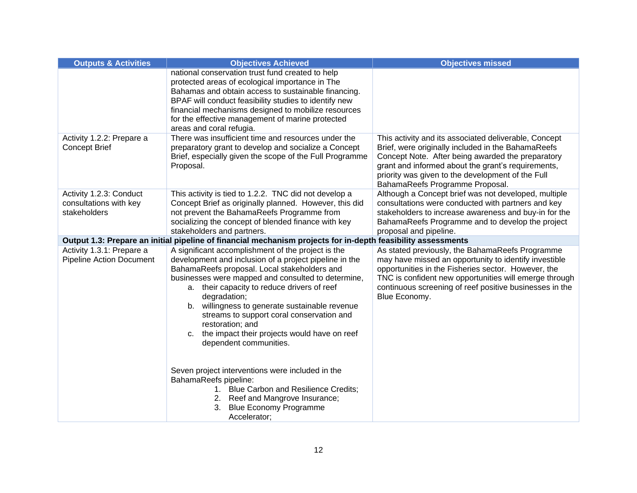| <b>Outputs &amp; Activities</b>                                   | <b>Objectives Achieved</b>                                                                                                                                                                                                                                                                                                                                                                                                                                                           | <b>Objectives missed</b>                                                                                                                                                                                                                                                                                       |
|-------------------------------------------------------------------|--------------------------------------------------------------------------------------------------------------------------------------------------------------------------------------------------------------------------------------------------------------------------------------------------------------------------------------------------------------------------------------------------------------------------------------------------------------------------------------|----------------------------------------------------------------------------------------------------------------------------------------------------------------------------------------------------------------------------------------------------------------------------------------------------------------|
|                                                                   | national conservation trust fund created to help<br>protected areas of ecological importance in The<br>Bahamas and obtain access to sustainable financing.<br>BPAF will conduct feasibility studies to identify new<br>financial mechanisms designed to mobilize resources<br>for the effective management of marine protected<br>areas and coral refugia.                                                                                                                           |                                                                                                                                                                                                                                                                                                                |
| Activity 1.2.2: Prepare a<br><b>Concept Brief</b>                 | There was insufficient time and resources under the<br>preparatory grant to develop and socialize a Concept<br>Brief, especially given the scope of the Full Programme<br>Proposal.                                                                                                                                                                                                                                                                                                  | This activity and its associated deliverable, Concept<br>Brief, were originally included in the BahamaReefs<br>Concept Note. After being awarded the preparatory<br>grant and informed about the grant's requirements,<br>priority was given to the development of the Full<br>BahamaReefs Programme Proposal. |
| Activity 1.2.3: Conduct<br>consultations with key<br>stakeholders | This activity is tied to 1.2.2. TNC did not develop a<br>Concept Brief as originally planned. However, this did<br>not prevent the BahamaReefs Programme from<br>socializing the concept of blended finance with key<br>stakeholders and partners.                                                                                                                                                                                                                                   | Although a Concept brief was not developed, multiple<br>consultations were conducted with partners and key<br>stakeholders to increase awareness and buy-in for the<br>BahamaReefs Programme and to develop the project<br>proposal and pipeline.                                                              |
|                                                                   | Output 1.3: Prepare an initial pipeline of financial mechanism projects for in-depth feasibility assessments                                                                                                                                                                                                                                                                                                                                                                         |                                                                                                                                                                                                                                                                                                                |
| Activity 1.3.1: Prepare a<br><b>Pipeline Action Document</b>      | A significant accomplishment of the project is the<br>development and inclusion of a project pipeline in the<br>BahamaReefs proposal. Local stakeholders and<br>businesses were mapped and consulted to determine,<br>a. their capacity to reduce drivers of reef<br>degradation;<br>b. willingness to generate sustainable revenue<br>streams to support coral conservation and<br>restoration; and<br>the impact their projects would have on reef<br>C.<br>dependent communities. | As stated previously, the BahamaReefs Programme<br>may have missed an opportunity to identify investible<br>opportunities in the Fisheries sector. However, the<br>TNC is confident new opportunities will emerge through<br>continuous screening of reef positive businesses in the<br>Blue Economy.          |
|                                                                   | Seven project interventions were included in the<br>BahamaReefs pipeline:<br>1. Blue Carbon and Resilience Credits;<br>2. Reef and Mangrove Insurance;<br>3. Blue Economy Programme<br>Accelerator;                                                                                                                                                                                                                                                                                  |                                                                                                                                                                                                                                                                                                                |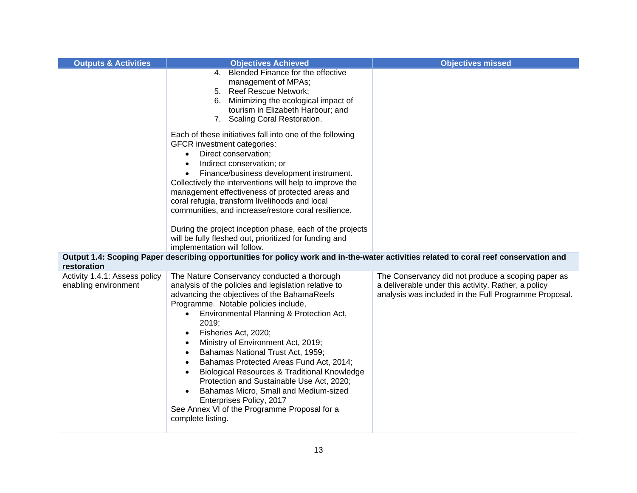| <b>Outputs &amp; Activities</b>                       | <b>Objectives Achieved</b>                                                                                                                                                                                                                                                                                                                                                                                                                                                                                                                                                                                                                                                             | <b>Objectives missed</b>                                                                                                                                           |
|-------------------------------------------------------|----------------------------------------------------------------------------------------------------------------------------------------------------------------------------------------------------------------------------------------------------------------------------------------------------------------------------------------------------------------------------------------------------------------------------------------------------------------------------------------------------------------------------------------------------------------------------------------------------------------------------------------------------------------------------------------|--------------------------------------------------------------------------------------------------------------------------------------------------------------------|
|                                                       | 4. Blended Finance for the effective<br>management of MPAs;<br>5. Reef Rescue Network;<br>6. Minimizing the ecological impact of<br>tourism in Elizabeth Harbour; and<br>7. Scaling Coral Restoration.                                                                                                                                                                                                                                                                                                                                                                                                                                                                                 |                                                                                                                                                                    |
|                                                       | Each of these initiatives fall into one of the following<br><b>GFCR</b> investment categories:<br>Direct conservation;<br>Indirect conservation; or<br>$\bullet$<br>Finance/business development instrument.<br>$\bullet$<br>Collectively the interventions will help to improve the<br>management effectiveness of protected areas and<br>coral refugia, transform livelihoods and local<br>communities, and increase/restore coral resilience.<br>During the project inception phase, each of the projects<br>will be fully fleshed out, prioritized for funding and<br>implementation will follow.                                                                                  |                                                                                                                                                                    |
| restoration                                           | Output 1.4: Scoping Paper describing opportunities for policy work and in-the-water activities related to coral reef conservation and                                                                                                                                                                                                                                                                                                                                                                                                                                                                                                                                                  |                                                                                                                                                                    |
| Activity 1.4.1: Assess policy<br>enabling environment | The Nature Conservancy conducted a thorough<br>analysis of the policies and legislation relative to<br>advancing the objectives of the BahamaReefs<br>Programme. Notable policies include,<br>Environmental Planning & Protection Act,<br>2019;<br>Fisheries Act, 2020;<br>Ministry of Environment Act, 2019;<br>Bahamas National Trust Act, 1959;<br>$\bullet$<br>Bahamas Protected Areas Fund Act, 2014;<br>$\bullet$<br><b>Biological Resources &amp; Traditional Knowledge</b><br>$\bullet$<br>Protection and Sustainable Use Act, 2020;<br>Bahamas Micro, Small and Medium-sized<br>Enterprises Policy, 2017<br>See Annex VI of the Programme Proposal for a<br>complete listing. | The Conservancy did not produce a scoping paper as<br>a deliverable under this activity. Rather, a policy<br>analysis was included in the Full Programme Proposal. |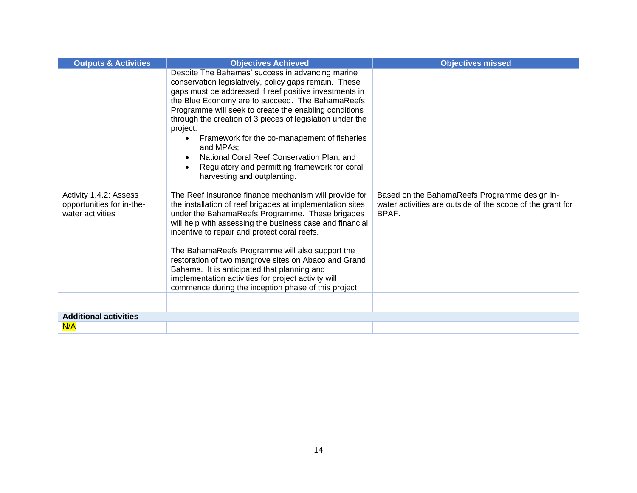| <b>Outputs &amp; Activities</b>                                         | <b>Objectives Achieved</b>                                                                                                                                                                                                                                                                                                                                                                                                                                                                                                                                 | <b>Objectives missed</b>                                                                                             |
|-------------------------------------------------------------------------|------------------------------------------------------------------------------------------------------------------------------------------------------------------------------------------------------------------------------------------------------------------------------------------------------------------------------------------------------------------------------------------------------------------------------------------------------------------------------------------------------------------------------------------------------------|----------------------------------------------------------------------------------------------------------------------|
|                                                                         | Despite The Bahamas' success in advancing marine<br>conservation legislatively, policy gaps remain. These<br>gaps must be addressed if reef positive investments in<br>the Blue Economy are to succeed. The BahamaReefs<br>Programme will seek to create the enabling conditions<br>through the creation of 3 pieces of legislation under the<br>project:<br>Framework for the co-management of fisheries<br>and MPAs;<br>National Coral Reef Conservation Plan; and<br>Regulatory and permitting framework for coral<br>harvesting and outplanting.       |                                                                                                                      |
| Activity 1.4.2: Assess<br>opportunities for in-the-<br>water activities | The Reef Insurance finance mechanism will provide for<br>the installation of reef brigades at implementation sites<br>under the BahamaReefs Programme. These brigades<br>will help with assessing the business case and financial<br>incentive to repair and protect coral reefs.<br>The BahamaReefs Programme will also support the<br>restoration of two mangrove sites on Abaco and Grand<br>Bahama. It is anticipated that planning and<br>implementation activities for project activity will<br>commence during the inception phase of this project. | Based on the BahamaReefs Programme design in-<br>water activities are outside of the scope of the grant for<br>BPAF. |
|                                                                         |                                                                                                                                                                                                                                                                                                                                                                                                                                                                                                                                                            |                                                                                                                      |
| <b>Additional activities</b>                                            |                                                                                                                                                                                                                                                                                                                                                                                                                                                                                                                                                            |                                                                                                                      |
| N/A                                                                     |                                                                                                                                                                                                                                                                                                                                                                                                                                                                                                                                                            |                                                                                                                      |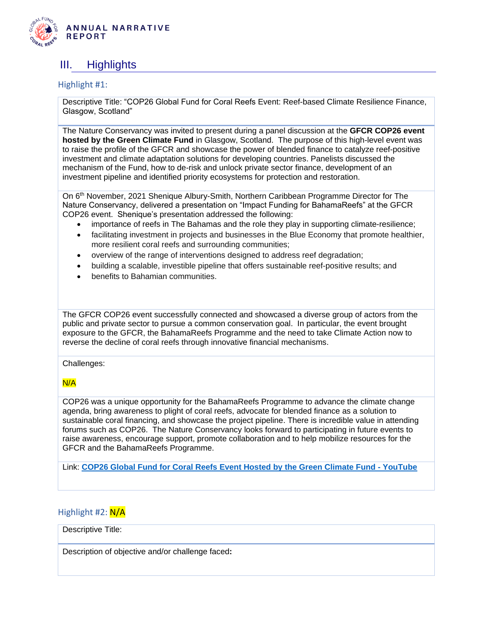

### <span id="page-14-0"></span>III. Highlights

#### Highlight #1:

Descriptive Title: "COP26 Global Fund for Coral Reefs Event: Reef-based Climate Resilience Finance, Glasgow, Scotland"

The Nature Conservancy was invited to present during a panel discussion at the **GFCR COP26 event hosted by the Green Climate Fund** in Glasgow, Scotland. The purpose of this high-level event was to raise the profile of the GFCR and showcase the power of blended finance to catalyze reef-positive investment and climate adaptation solutions for developing countries. Panelists discussed the mechanism of the Fund, how to de-risk and unlock private sector finance, development of an investment pipeline and identified priority ecosystems for protection and restoration.

On 6th November, 2021 Shenique Albury-Smith, Northern Caribbean Programme Director for The Nature Conservancy, delivered a presentation on "Impact Funding for BahamaReefs" at the GFCR COP26 event. Shenique's presentation addressed the following:

- importance of reefs in The Bahamas and the role they play in supporting climate-resilience;
- facilitating investment in projects and businesses in the Blue Economy that promote healthier, more resilient coral reefs and surrounding communities;
- overview of the range of interventions designed to address reef degradation;
- building a scalable, investible pipeline that offers sustainable reef-positive results; and
- benefits to Bahamian communities.

The GFCR COP26 event successfully connected and showcased a diverse group of actors from the public and private sector to pursue a common conservation goal. In particular, the event brought exposure to the GFCR, the BahamaReefs Programme and the need to take Climate Action now to reverse the decline of coral reefs through innovative financial mechanisms.

Challenges:

### N/A

COP26 was a unique opportunity for the BahamaReefs Programme to advance the climate change agenda, bring awareness to plight of coral reefs, advocate for blended finance as a solution to sustainable coral financing, and showcase the project pipeline. There is incredible value in attending forums such as COP26. The Nature Conservancy looks forward to participating in future events to raise awareness, encourage support, promote collaboration and to help mobilize resources for the GFCR and the BahamaReefs Programme.

Link: **[COP26 Global Fund for Coral Reefs Event Hosted by the Green Climate Fund -](https://www.youtube.com/watch?v=HKiOa9KuhRk) YouTube**

### Highlight #2: N/A

#### Descriptive Title:

Description of objective and/or challenge faced**:**